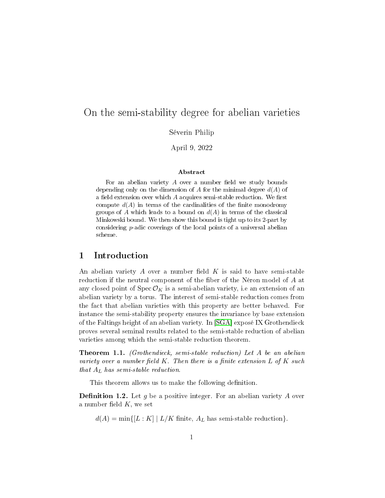## On the semi-stability degree for abelian varieties

Séverin Philip

April 9, 2022

#### Abstract

For an abelian variety  $A$  over a number field we study bounds depending only on the dimension of A for the minimal degree  $d(A)$  of a field extension over which  $A$  acquires semi-stable reduction. We first compute  $d(A)$  in terms of the cardinalities of the finite monodromy groups of A which leads to a bound on  $d(A)$  in terms of the classical Minkowski bound. We then show this bound is tight up to its 2-part by considering p-adic coverings of the local points of a universal abelian scheme.

## 1 Introduction

An abelian variety  $A$  over a number field  $K$  is said to have semi-stable reduction if the neutral component of the fiber of the Néron model of A at any closed point of  $\operatorname{Spec} \mathcal{O}_K$  is a semi-abelian variety, i.e an extension of an abelian variety by a torus. The interest of semi-stable reduction comes from the fact that abelian varieties with this property are better behaved. For instance the semi-stability property ensures the invariance by base extension of the Faltings height of an abelian variety. In [\[SGA\]](#page-15-0) exposé IX Grothendieck proves several seminal results related to the semi-stable reduction of abelian varieties among which the semi-stable reduction theorem.

Theorem 1.1. (Grothendieck, semi-stable reduction) Let A be an abelian variety over a number field  $K$ . Then there is a finite extension  $L$  of  $K$  such that  $A_L$  has semi-stable reduction.

This theorem allows us to make the following definition.

**Definition 1.2.** Let g be a positive integer. For an abelian variety A over a number field  $K$ , we set

 $d(A) = \min\{[L:K] | L/K \text{ finite}, A_L \text{ has semi-stable reduction}\}.$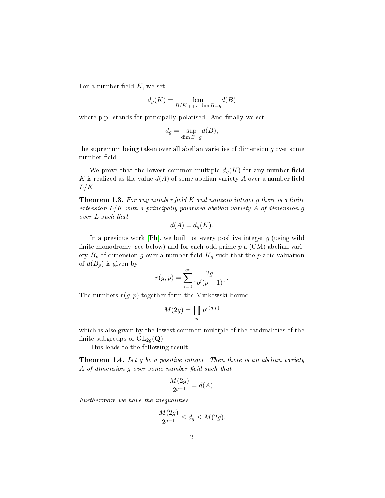For a number field  $K$ , we set

$$
d_g(K) = \operatorname*{lcm}_{B/K \text{ p.p. dim } B=g} d(B)
$$

where p.p. stands for principally polarised. And finally we set

$$
d_g = \sup_{\dim B = g} d(B),
$$

the supremum being taken over all abelian varieties of dimension  $q$  over some number field.

We prove that the lowest common multiple  $d_q(K)$  for any number field K is realized as the value  $d(A)$  of some abelian variety A over a number field  $L/K$ .

<span id="page-1-1"></span>**Theorem 1.3.** For any number field  $K$  and nonzero integer g there is a finite extension  $L/K$  with a principally polarised abelian variety  $A$  of dimension  $g$ over L such that

$$
d(A) = d_g(K).
$$

In a previous work  $[Ph]$ , we built for every positive integer  $g$  (using wild finite monodromy, see below) and for each odd prime  $p$  a  $(CM)$  abelian variety  $B_p$  of dimension g over a number field  $K_g$  such that the p-adic valuation of  $d(B_p)$  is given by

$$
r(g,p)=\sum_{i=0}^\infty\lfloor\frac{2g}{p^i(p-1)}\rfloor.
$$

The numbers  $r(g, p)$  together form the Minkowski bound

$$
M(2g) = \prod_p p^{r(g,p)}
$$

which is also given by the lowest common multiple of the cardinalities of the finite subgroups of  $GL_{2q}(\mathbf{Q})$ .

This leads to the following result.

<span id="page-1-0"></span>**Theorem 1.4.** Let  $g$  be a positive integer. Then there is an abelian variety A of dimension g over some number field such that

$$
\frac{M(2g)}{2^{g-1}} = d(A).
$$

Furthermore we have the inequalities

$$
\frac{M(2g)}{2^{g-1}} \le d_g \le M(2g).
$$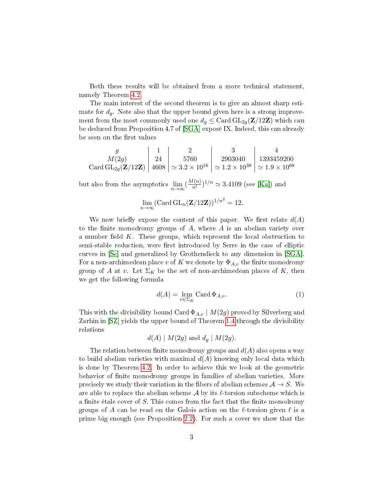Both these results will be obtained from a more technical statement, namely Theorem [4.2.](#page-13-0)

The main interest of the second theorem is to give an almost sharp estimate for  $d_q$ . Note also that the upper bound given here is a strong improvement from the most commonly used one  $d_g \leq$  Card  $GL_{2g}(\mathbf{Z}/12\mathbf{Z})$  which can be deduced from Proposition 4.7 of [\[SGA\]](#page-15-0) exposé IX. Indeed, this can already be seen on the first values

$$
\begin{array}{c|c|c|c} g & 1 & 2 & 3 & 4 \\ \hline M(2g) & 24 & 5760 & 2903040 & 1393459200 \\ \text{Card GL}_{2g}(\mathbf{Z}/12\mathbf{Z}) & 4608 & \simeq 3.2 \times 10^{16} & \simeq 1.2 \times 10^{38} & \simeq 1.9 \times 10^{68} \end{array}
$$

but also from the asymptotics  $\lim_{n\to\infty} \left(\frac{M(n)}{n!}\right)$  $\frac{I(n)}{n!}$ <sup>1/n</sup>  $\simeq$  3.4109 (see [\[Ka\]](#page-15-2)) and

$$
\lim_{n\to\infty} (\operatorname{Card} GL_n(\mathbf{Z}/12\mathbf{Z}))^{1/n^2} = 12.
$$

We now briefly expose the content of this paper. We first relate  $d(A)$ to the finite monodromy groups of  $A$ , where  $A$  is an abelian variety over a number field K. These groups, which represent the local obstruction to semi-stable reduction, were first introduced by Serre in the case of elliptic curves in [\[Se\]](#page-15-3) and generalized by Grothendieck to any dimension in [\[SGA\]](#page-15-0). For a non-archimedean place v of K we denote by  $\Phi_{A,v}$  the finite monodromy group of A at v. Let  $\Sigma_K$  be the set of non-archimedean places of K, then we get the following formula

<span id="page-2-0"></span>
$$
d(A) = \lim_{v \in \Sigma_K} \text{Card } \Phi_{A,v}.
$$
 (1)

This with the divisibility bound Card  $\Phi_{A,v}$  |  $M(2g)$  proved by Silverberg and Zarhin in [\[SZ\]](#page-15-4) yields the upper bound of Theorem [1.4](#page-1-0) through the divisibility relations

$$
d(A) | M(2g) \text{ and } d_g | M(2g).
$$

The relation between finite monodromy groups and  $d(A)$  also opens a way to build abelian varieties with maximal  $d(A)$  knowing only local data which is done by Theorem [4.2.](#page-13-0) In order to achieve this we look at the geometric behavior of nite monodromy groups in families of abelian varieties. More precisely we study their variation in the fibers of abelian schemes  $A \rightarrow S$ . We are able to replace the abelian scheme  $\mathcal A$  by its  $\ell$ -torsion subscheme which is a finite étale cover of S. This comes from the fact that the finite monodromy groups of A can be read on the Galois action on the  $\ell$ -torsion given  $\ell$  is a prime big enough (see Proposition [2.2\)](#page-4-0). For such a cover we show that the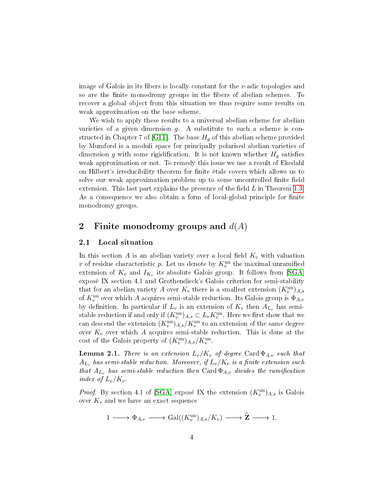image of Galois in its fibers is locally constant for the  $v$ -adic topologies and so are the finite monodromy groups in the fibers of abelian schemes. To recover a global object from this situation we thus require some results on weak approximation on the base scheme.

We wish to apply these results to a universal abelian scheme for abelian varieties of a given dimension  $g$ . A substitute to such a scheme is con-structed in Chapter 7 of [\[GIT\]](#page-15-5). The base  $H<sub>q</sub>$  of this abelian scheme provided by Mumford is a moduli space for principally polarised abelian varieties of dimension g with some rigidification. It is not known whether  $H<sub>q</sub>$  satisfies weak approximation or not. To remedy this issue we use a result of Ekedahl on Hilbert's irreducibility theorem for finite étale covers which allows us to solve our weak approximation problem up to some uncontrolled finite field extension. This last part explains the presence of the field  $L$  in Theorem [1.3.](#page-1-1) As a consequence we also obtain a form of local-global principle for finite monodromy groups.

## 2 Finite monodromy groups and  $d(A)$

### 2.1 Local situation

In this section  $A$  is an abelian variety over a local field  $K_v$  with valuation v of residue characteristic  $p$ . Let us denote by  $K_v^{\text{un}}$  the maximal unramified extension of  $K_v$  and  $I_{K_v}$  its absolute Galois group. It follows from [\[SGA\]](#page-15-0) exposé IX section 4.1 and Grothendieck's Galois criterion for semi-stability that for an abelian variety  $A$  over  $K_v$  there is a smallest extension  $(K_v^{\text{un}})_{A,s}$ of  $K_v^{\text{un}}$  over which  $A$  acquires semi-stable reduction. Its Galois group is  $\Phi_{A,v}$ by definition. In particular if  $L_v$  is an extension of  $K_v$  then  $A_{L_v}$  has semistable reduction if and only if  $(K_v^{\text{un}})_{A,s} \subset L_vK_v^{\text{un}}$ . Here we first show that we can descend the extension  $(K_v^{\mathrm{un}})_{A,s}/K_v^{\mathrm{un}}$  to an extension of the same degree over  $K_v$  over which A acquires semi-stable reduction. This is done at the cost of the Galois property of  $(K_v^{\text{un}})_{A,s}/K_v^{\text{un}}$ .

<span id="page-3-0"></span>**Lemma 2.1.** There is an extension  $L_v/K_v$  of degree Card  $\Phi_{A,v}$  such that  $A_{L_v}$  has semi-stable reduction. Moreover, if  $L_v/K_v$  is a finite extension such that  $A_{L_v}$  has semi-stable reduction then Card  $\Phi_{A,v}$  divides the ramification index of  $L_v/K_v$ .

*Proof.* By section 4.1 of [\[SGA\]](#page-15-0) expose IX the extension  $(K_v^{\text{un}})_{A,s}$  is Galois over  $K_v$  and we have an exact sequence

$$
1 \longrightarrow \Phi_{A,v} \longrightarrow \text{Gal}((K_v^{\text{un}})_{A,s}/K_v) \longrightarrow \widehat{\mathbf{Z}} \longrightarrow 1.
$$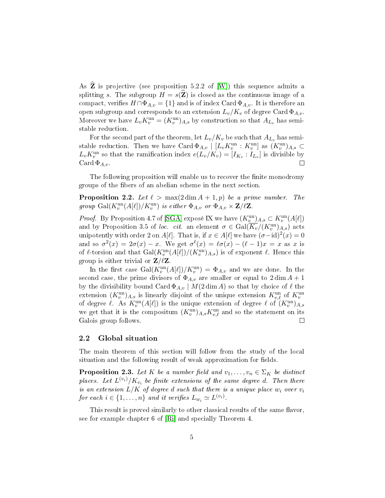As  $\widehat{\mathbf{Z}}$  is projective (see proposition 5.2.2 of [\[W\]](#page-15-6)) this sequence admits a splitting s. The subgroup  $H = s(\mathbf{Z})$  is closed as the continuous image of a compact, verifies  $H \cap \Phi_{A,v} = \{1\}$  and is of index Card  $\Phi_{A,v}$ . It is therefore an open subgroup and corresponds to an extension  $L_v/K_v$  of degree Card  $\Phi_{A,v}$ . Moreover we have  $L_v K_v^{\text{un}} = (K_v^{\text{un}})_{A,s}$  by construction so that  $A_{L_v}$  has semistable reduction.

For the second part of the theorem, let  $L_v/K_v$  be such that  $A_{L_v}$  has semistable reduction. Then we have Card  $\Phi_{A,v}$  |  $[L_v K_v^{\text{un}} : K_v^{\text{un}}]$  as  $(K_v^{\text{un}})_{A,s} \subset$  $L_v K_v^{\text{un}}$  so that the ramification index  $e(L_v/K_v) = [I_{K_v} : I_{L_v}]$  is divisible by Card  $\Phi_{A,v}$ .  $\Box$ 

The following proposition will enable us to recover the finite monodromy groups of the bers of an abelian scheme in the next section.

<span id="page-4-0"></span>**Proposition 2.2.** Let  $\ell > \max(2 \dim A + 1, p)$  be a prime number. The group  $\text{Gal}(K_v^{\text{un}}(A[\ell])/K_v^{\text{un}})$  is either  $\Phi_{A,v}$  or  $\Phi_{A,v} \times \mathbf{Z}/\ell \mathbf{Z}$ .

*Proof.* By Proposition 4.7 of [\[SGA\]](#page-15-0) expose IX we have  $(K_v^{\text{un}})_{A,s} \subset K_v^{\text{un}}(A[\ell])$ and by Proposition 3.5 of loc. cit. an element  $\sigma \in \text{Gal}(\overline{K_v}/(K_v^{\text{un}})_{A,s})$  acts unipotently with order 2 on  $A[\ell]$ . That is, if  $x \in A[\ell]$  we have  $(\sigma - id)^2(x) = 0$ and so  $\sigma^2(x) = 2\sigma(x) - x$ . We get  $\sigma^{\ell}(x) = \ell \sigma(x) - (\ell - 1)x = x$  as x is of  $\ell$ -torsion and that  $Gal(K_v^{\text{un}}(A[\ell])/(K_v^{\text{un}})_{A,s})$  is of exponent  $\ell$ . Hence this group is either trivial or  $\mathbf{Z}/\ell\mathbf{Z}$ .

In the first case Gal $(K_v^{\text{un}}(A[\ell])/K_v^{\text{un}}) = \Phi_{A,v}$  and we are done. In the second case, the prime divisors of  $\Phi_{A,v}$  are smaller or equal to  $2 \dim A + 1$ by the divisibility bound  $\operatorname{Card} \Phi_{A,v} \mid M(2\dim A)$  so that by choice of  $\ell$  the extension  $(K_v^{\text{un}})_{A,s}$  is linearly disjoint of the unique extension  $K_{v,\ell}^{\text{un}}$  of  $K_v^{\text{un}}$ of degree  $\ell$ . As  $K_v^{\text{un}}(A[\ell])$  is the unique extension of degree  $\ell$  of  $(K_v^{\text{un}})_{A,s}$ we get that it is the compositum  $(K_v^{\text{un}})_{A,s} K_{v,\ell}^{\text{un}}$  and so the statement on its Galois group follows.  $\Box$ 

### 2.2 Global situation

The main theorem of this section will follow from the study of the local situation and the following result of weak approximation for fields.

<span id="page-4-1"></span>**Proposition 2.3.** Let K be a number field and  $v_1, \ldots, v_n \in \Sigma_K$  be distinct places. Let  $L^{(v_i)}/K_{v_i}$  be finite extensions of the same degree  $d$ . Then there is an extension  $L/K$  of degree d such that there is a unique place  $w_i$  over  $v_i$ for each  $i \in \{1, \ldots, n\}$  and it verifies  $L_{w_i} \simeq L^{(v_i)}$ .

This result is proved similarly to other classical results of the same flavor, see for example chapter 6 of [\[Ri\]](#page-15-7) and specially Theorem 4.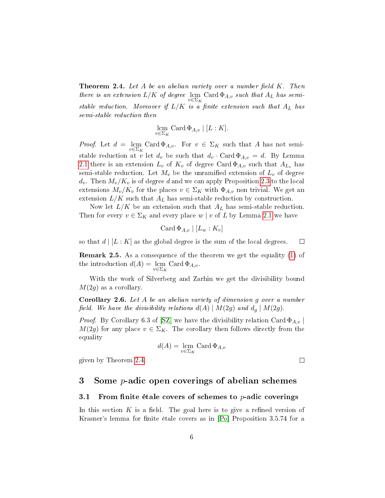<span id="page-5-0"></span>**Theorem 2.4.** Let A be an abelian variety over a number field  $K$ . Then there is an extension  $L/K$  of degree  $\,\mathrm{lcm}\,$  Card  $\Phi_{A,v}$  such that  $A_L$  has semistable reduction. Moreover if  $L/K$  is a finite extension such that  $A_L$  has semi-stable reduction then

$$
\operatorname*{lcm}\nolimits_{v \in \Sigma_K} \operatorname*{Card}\Phi_{A,v} \mid [L:K].
$$

*Proof.* Let  $d = \text{ lcm } \text{Can } \text{Card } \Phi_{A,v}.$  For  $v \in \Sigma_K$  such that A has not semistable reduction at v let  $d_v$  be such that  $d_v \cdot \text{Card} \Phi_{A,v} = d$ . By Lemma [2.1](#page-3-0) there is an extension  $L_v$  of  $K_v$  of degree Card  $\Phi_{A,v}$  such that  $A_{L_v}$  has semi-stable reduction. Let  $M_v$  be the unramified extension of  $L_v$  of degree  $d_v$ . Then  $M_v/K_v$  is of degree d and we can apply Proposition [2.3](#page-4-1) to the local extensions  $M_v/K_v$  for the places  $v \in \Sigma_K$  with  $\Phi_{A,v}$  non trivial. We get an extension  $L/K$  such that  $A_L$  has semi-stable reduction by construction.

Now let  $L/K$  be an extension such that  $A_L$  has semi-stable reduction. Then for every  $v \in \Sigma_K$  and every place w | v of L by Lemma [2.1](#page-3-0) we have

$$
Card \, \Phi_{A,v} \mid [L_w : K_v]
$$

so that  $d | [L : K]$  as the global degree is the sum of the local degrees.  $\Box$ 

Remark 2.5. As a consequence of the theorem we get the equality [\(1\)](#page-2-0) of the introduction  $d(A) = \operatorname*{lcm}_{v \in \Sigma_K}$  Card  $\Phi_{A,v}$ .

With the work of Silverberg and Zarhin we get the divisibility bound  $M(2q)$  as a corollary.

Corollary 2.6. Let A be an abelian variety of dimension g over a number field. We have the divisibility relations  $d(A) | M(2g)$  and  $d_q | M(2g)$ .

*Proof.* By Corollary 6.3 of [\[SZ\]](#page-15-4) we have the divisibility relation Card  $\Phi_{A,\nu}$  $M(2g)$  for any place  $v \in \Sigma_K$ . The corollary then follows directly from the equality

$$
d(A)=\lim_{v\in \Sigma_K}\operatorname{Card} \Phi_{A,v}
$$

 $\Box$ 

given by Theorem [2.4.](#page-5-0)

# 3 Some  $p$ -adic open coverings of abelian schemes

### 3.1 From finite étale covers of schemes to  $p$ -adic coverings

In this section  $K$  is a field. The goal here is to give a refined version of Krasner's lemma for finite étale covers as in [\[Po\]](#page-15-8) Proposition 3.5.74 for a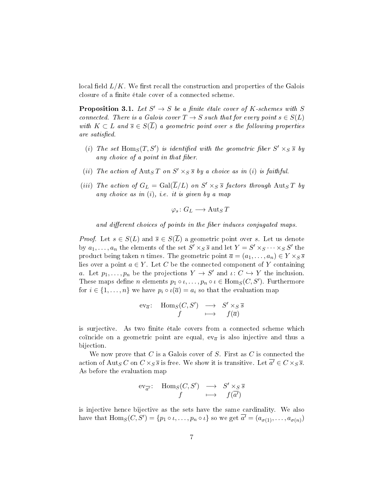local field  $L/K$ . We first recall the construction and properties of the Galois closure of a finite étale cover of a connected scheme.

**Proposition 3.1.** Let  $S' \to S$  be a finite étale cover of K-schemes with S connected. There is a Galois cover  $T \to S$  such that for every point  $s \in S(L)$ with  $K \subset L$  and  $\overline{s} \in S(\overline{L})$  a geometric point over s the following properties are satisfied.

- (i) The set  $\text{Hom}_S(T, S')$  is identified with the geometric fiber  $S' \times_S \overline{s}$  by any choice of a point in that fiber.
- (ii) The action of  $\text{Aut}_S T$  on  $S' \times_S \overline{s}$  by a choice as in (i) is faithful.
- (iii) The action of  $G_L = \text{Gal}(\overline{L}/L)$  on  $S' \times_S \overline{s}$  factors through  $\text{Aut}_S T$  by any choice as in  $(i)$ , i.e. it is given by a map

$$
\varphi_s\colon G_L\longrightarrow \operatorname{Aut}_S T
$$

and different choices of points in the fiber induces conjugated maps.

*Proof.* Let  $s \in S(L)$  and  $\overline{s} \in S(\overline{L})$  a geometric point over s. Let us denote by  $a_1, \ldots, a_n$  the elements of the set  $S' \times_S \overline{s}$  and let  $Y = S' \times_S \cdots \times_S S'$  the product being taken *n* times. The geometric point  $\overline{a} = (a_1, \ldots, a_n) \in Y \times_S \overline{s}$ lies over a point  $a \in Y$ . Let C be the connected component of Y containing a. Let  $p_1, \ldots, p_n$  be the projections  $Y \to S'$  and  $\iota: C \hookrightarrow Y$  the inclusion. These maps define *n* elements  $p_1 \circ \iota, \ldots, p_n \circ \iota \in \text{Hom}_S(C, S').$  Furthermore for  $i \in \{1, ..., n\}$  we have  $p_i \circ \iota(\overline{a}) = a_i$  so that the evaluation map

$$
\text{ev}_{\overline{a}}: \quad \text{Hom}_S(C, S') \quad \longrightarrow \quad S' \times_S \overline{s} \quad \text{if} \quad f(\overline{a})
$$

is surjective. As two finite étale covers from a connected scheme which coïncide on a geometric point are equal,  $ev_{\overline{a}}$  is also injective and thus a bijection.

We now prove that  $C$  is a Galois cover of  $S$ . First as  $C$  is connected the action of  $\mathrm{Aut}_S C$  on  $C\times_S \overline{s}$  is free. We show it is transitive. Let  $\overline{a'}\in C\times_S \overline{s}$ . As before the evaluation map

$$
\text{ev}_{\overline{a'}}: \quad \text{Hom}_S(C, S') \quad \longrightarrow \quad S' \times_S \overline{s} \quad \text{if} \quad f(\overline{a'})
$$

is injective hence bijective as the sets have the same cardinality. We also have that  $\text{Hom}_S(C, S') = \{p_1 \circ \iota, \ldots, p_n \circ \iota\}$  so we get  $\overline{a'} = (a_{\sigma(1)}, \ldots, a_{\sigma(n)})$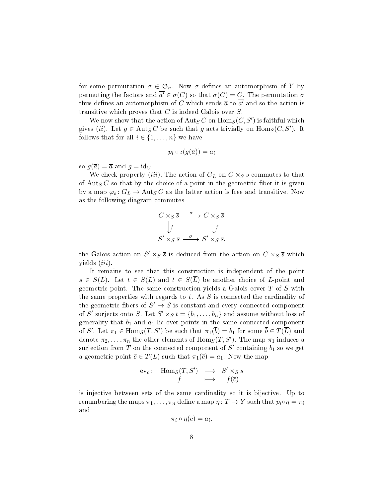for some permutation  $\sigma \in \mathfrak{S}_n$ . Now  $\sigma$  defines an automorphism of Y by permuting the factors and  $\overline{a'} \in \sigma(C)$  so that  $\sigma(C) = C$ . The permutation  $\sigma$ thus defines an automorphism of  $C$  which sends  $\overline{a}$  to  $\overline{a'}$  and so the action is transitive which proves that  $C$  is indeed Galois over  $S$ .

We now show that the action of  $\text{Aut}_S C$  on  $\text{Hom}_S (C,S')$  is faithful which gives (*ii*). Let  $g \in \text{Aut}_S C$  be such that g acts trivially on  $\text{Hom}_S(C, S')$ . It follows that for all  $i \in \{1, \ldots, n\}$  we have

$$
p_i \circ \iota(g(\overline{a})) = a_i
$$

so  $g(\overline{a}) = \overline{a}$  and  $g = id_C$ .

We check property *(iii)*. The action of  $G_L$  on  $C \times_S \overline{s}$  commutes to that of  $\text{Aut}_S C$  so that by the choice of a point in the geometric fiber it is given by a map  $\varphi_s: G_L \to \text{Aut}_S C$  as the latter action is free and transitive. Now as the following diagram commutes

$$
C \times_S \overline{s} \xrightarrow{\sigma} C \times_S \overline{s}
$$
  
\n
$$
\downarrow f \qquad \qquad \downarrow f
$$
  
\n
$$
S' \times_S \overline{s} \xrightarrow{\sigma} S' \times_S \overline{s}.
$$

the Galois action on  $S' \times_S \overline{s}$  is deduced from the action on  $C \times_S \overline{s}$  which yields  $(iii)$ .

It remains to see that this construction is independent of the point  $s \in S(L)$ . Let  $t \in S(L)$  and  $\overline{t} \in S(\overline{L})$  be another choice of L-point and geometric point. The same construction yields a Galois cover  $T$  of  $S$  with the same properties with regards to  $\bar{t}$ . As S is connected the cardinality of the geometric fibers of  $S' \to S$  is constant and every connected component of S' surjects onto S. Let  $S' \times_S \overline{t} = \{b_1, \ldots, b_n\}$  and assume without loss of generality that  $b_1$  and  $a_1$  lie over points in the same connected component of  $S'.$  Let  $\pi_1 \in \text{Hom}_S(T,S')$  be such that  $\pi_1(\overline{b}) = b_1$  for some  $\overline{b} \in T(\overline{L})$  and denote  $\pi_2, \ldots, \pi_n$  the other elements of  $\mathrm{Hom}_S(T,S')$ . The map  $\pi_1$  induces a surjection from  $T$  on the connected component of  $S'$  containing  $b_1$  so we get a geometric point  $\overline{c} \in T(\overline{L})$  such that  $\pi_1(\overline{c}) = a_1$ . Now the map

$$
\begin{array}{rccc}\n\operatorname{ev}_{\overline{c}}: & \operatorname{Hom}_S(T, S') & \longrightarrow & S' \times_S \overline{s} \\
f & \longmapsto & f(\overline{c})\n\end{array}
$$

is injective between sets of the same cardinality so it is bijective. Up to renumbering the maps  $\pi_1, \ldots, \pi_n$  define a map  $\eta \colon T \to Y$  such that  $p_i \circ \eta = \pi_i$ and

$$
\pi_i\circ\eta(\overline{c})=a_i
$$

.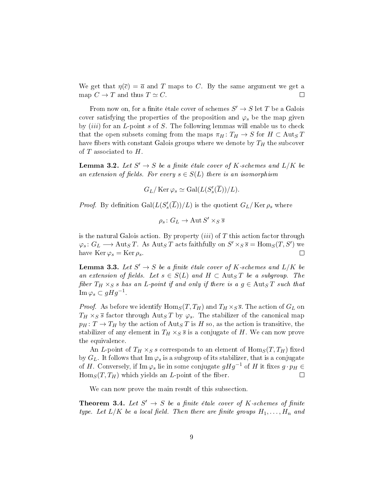We get that  $\eta(\bar{c}) = \bar{a}$  and T maps to C. By the same argument we get a map  $C \to T$  and thus  $T \simeq C$ .  $\Box$ 

From now on, for a finite étale cover of schemes  $S' \to S$  let T be a Galois cover satisfying the properties of the proposition and  $\varphi_s$  be the map given by  $(iii)$  for an  $L$ -point  $s$  of  $S$ . The following lemmas will enable us to check that the open subsets coming from the maps  $\pi_H : T_H \to S$  for  $H \subset \text{Aut}_S T$ have fibers with constant Galois groups where we denote by  $T_H$  the subcover of  $T$  associated to  $H$ .

<span id="page-8-1"></span>**Lemma 3.2.** Let  $S' \to S$  be a finite étale cover of K-schemes and  $L/K$  be an extension of fields. For every  $s \in S(L)$  there is an isomorphism

$$
G_L/\operatorname{Ker}\varphi_s\simeq \operatorname{Gal}(L(S_s'(\overline{L}))/L).
$$

*Proof.* By definition  $Gal(L(S'_{s}(\overline{L}))/L)$  is the quotient  $G_{L}/\operatorname{Ker} \rho_{s}$  where

$$
\rho_s\colon G_L\to \operatorname{Aut} S'\times_S\overline{s}
$$

is the natural Galois action. By property  $(iii)$  of T this action factor through  $\varphi_s\colon G_L\longrightarrow \operatorname{Aut}_S T$ . As  $\operatorname{Aut}_S T$  acts faithfully on  $S'\times_S \overline{s}=\operatorname{Hom}_S(T,S')$  we have Ker  $\varphi_s = \text{Ker } \rho_s$ .  $\Box$ 

<span id="page-8-0"></span>**Lemma 3.3.** Let  $S' \to S$  be a finite étale cover of K-schemes and  $L/K$  be an extension of fields. Let  $s \in S(L)$  and  $H \subset \text{Aut}_S T$  be a subgroup. The fiber  $T_H \times_S s$  has an L-point if and only if there is a  $g \in \text{Aut}_S T$  such that  $\operatorname{Im}\varphi_s \subset gHg^{-1}.$ 

*Proof.* As before we identify  $\text{Hom}_S(T, T_H)$  and  $T_H \times_S \overline{s}$ . The action of  $G_L$  on  $T_H \times_S \overline{s}$  factor through Aut<sub>S</sub>T by  $\varphi_s$ . The stabilizer of the canonical map  $p_H: T \to T_H$  by the action of  $\text{Aut}_S T$  is H so, as the action is transitive, the stabilizer of any element in  $T_H \times_S \overline{s}$  is a conjugate of H. We can now prove the equivalence.

An L-point of  $T_H \times_S s$  corresponds to an element of  $\text{Hom}_S(T, T_H)$  fixed by  $G_L$ . It follows that Im  $\varphi_s$  is a subgroup of its stabilizer, that is a conjugate of H. Conversely, if Im  $\varphi_s$  lie in some conjugate  $gHg^{-1}$  of H it fixes  $g \cdot p_H \in$  $\text{Hom}_S(T, T_H)$  which yields an *L*-point of the fiber. П

We can now prove the main result of this subsection.

<span id="page-8-2"></span>**Theorem 3.4.** Let  $S' \rightarrow S$  be a finite étale cover of K-schemes of finite type. Let  $L/K$  be a local field. Then there are finite groups  $H_1, \ldots, H_n$  and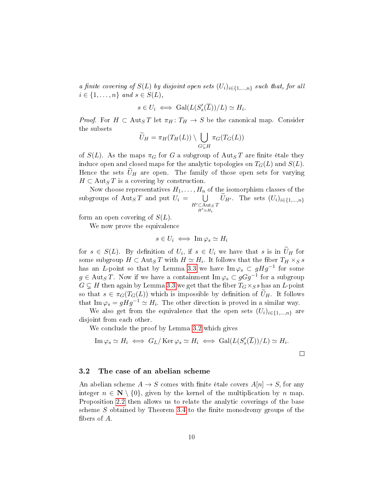a finite covering of  $S(L)$  by disjoint open sets  $(U_i)_{i\in\{1,\dots,n\}}$  such that, for all  $i \in \{1, \ldots, n\}$  and  $s \in S(L)$ ,

$$
s \in U_i \iff \text{Gal}(L(S_s'(\overline{L}))/L) \simeq H_i.
$$

*Proof.* For  $H \subset \text{Aut}_S T$  let  $\pi_H : T_H \to S$  be the canonical map. Consider the subsets

$$
\widetilde{U}_H = \pi_H(T_H(L)) \setminus \bigcup_{G \subsetneq H} \pi_G(T_G(L))
$$

of  $S(L)$ . As the maps  $\pi_G$  for G a subgroup of  $\text{Aut}_S T$  are finite étale they induce open and closed maps for the analytic topologies on  $T_G(L)$  and  $S(L)$ . Hence the sets  $\tilde{U}_H$  are open. The family of those open sets for varying  $H \subset \text{Aut}_S T$  is a covering by construction.

Now choose representatives  $H_1, \ldots, H_n$  of the isomorphism classes of the subgroups of  $\mathrm{Aut}_S T$  and put  $U_i = \bigcup$  $H' \subset \text{Aut}_S T$  $H'\simeq H_i$  $U_{H'}$ . The sets  $(U_i)_{i\in\{1,\dots,n\}}$ 

form an open covering of  $S(L)$ .

We now prove the equivalence

$$
s \in U_i \iff \operatorname{Im} \varphi_s \simeq H_i
$$

for  $s \in S(L)$ . By definition of  $U_i$ , if  $s \in U_i$  we have that s is in  $U_H$  for some subgroup  $H \subset \mathrm{Aut}_S T$  with  $H \simeq H_i$ . It follows that the fiber  $T_H \times_S s$ has an L-point so that by Lemma [3.3](#page-8-0) we have  $\text{Im}\,\varphi_s \,\subset\, gHg^{-1}$  for some  $g \in \mathrm{Aut}_S\, T$ . Now if we have a containment  $\mathrm{Im}\, \varphi_s \subset g G g^{-1}$  for a subgroup  $G \subsetneq H$  then again by Lemma [3.3](#page-8-0) we get that the fiber  $T_G \times_S s$  has an L-point so that  $s \in \pi_G(T_G(L))$  which is impossible by definition of  $U_H$ . It follows that Im  $\varphi_s = gHg^{-1} \simeq H_i$ . The other direction is proved in a similar way.

We also get from the equivalence that the open sets  $(U_i)_{i\in\{1,\ldots,n\}}$  are disjoint from each other.

We conclude the proof by Lemma [3.2](#page-8-1) which gives

Im 
$$
\varphi_s \simeq H_i \iff G_L/\ker \varphi_s \simeq H_i \iff \text{Gal}(L(S'_s(\overline{L}))/L) \simeq H_i.
$$

### 3.2 The case of an abelian scheme

An abelian scheme  $A \to S$  comes with finite étale covers  $A[n] \to S$ , for any integer  $n \in \mathbb{N} \setminus \{0\}$ , given by the kernel of the multiplication by n map. Proposition [2.2](#page-4-0) then allows us to relate the analytic coverings of the base scheme  $S$  obtained by Theorem [3.4](#page-8-2) to the finite monodromy groups of the bers of A.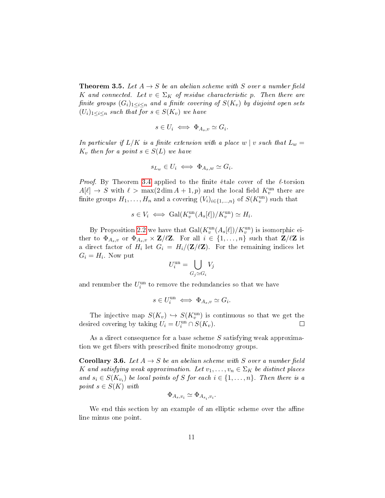<span id="page-10-0"></span>**Theorem 3.5.** Let  $A \rightarrow S$  be an abelian scheme with S over a number field K and connected. Let  $v \in \Sigma_K$  of residue characteristic p. Then there are finite groups  $(G_i)_{1\leq i\leq n}$  and a finite covering of  $S(K_v)$  by disjoint open sets  $(U_i)_{1\leq i\leq n}$  such that for  $s \in S(K_v)$  we have

$$
s \in U_i \iff \Phi_{A_s,v} \simeq G_i.
$$

In particular if  $L/K$  is a finite extension with a place w | v such that  $L_w =$  $K_v$  then for a point  $s \in S(L)$  we have

$$
s_{L_w} \in U_i \iff \Phi_{A_s,w} \simeq G_i.
$$

*Proof.* By Theorem [3.4](#page-8-2) applied to the finite étale cover of the  $\ell$ -torsion  $A[\ell] \to S$  with  $\ell > \max(2 \dim A + 1, p)$  and the local field  $K_v^{\text{un}}$  there are finite groups  $H_1, \ldots, H_n$  and a covering  $(V_i)_{i \in \{1, \ldots, n\}}$  of  $S(K_v^{\text{un}})$  such that

$$
s \in V_i \iff \text{Gal}(K_v^{\text{un}}(A_s[\ell])/K_v^{\text{un}}) \simeq H_i.
$$

By Proposition [2.2](#page-4-0) we have that  $Gal(K_v^{\text{un}}(A_s[\ell])/K_v^{\text{un}})$  is isomorphic either to  $\Phi_{A_s,v}$  or  $\Phi_{A_s,v} \times \mathbf{Z}/\ell \mathbf{Z}$ . For all  $i \in \{1,\ldots,n\}$  such that  $\mathbf{Z}/\ell \mathbf{Z}$  is a direct factor of  $H_i$  let  $G_i = H_i/(\mathbf{Z}/\ell\mathbf{Z})$ . For the remaining indices let  $G_i = H_i$  Now put

$$
U_i^{\text{un}} = \bigcup_{G_j \simeq G_i} V_j
$$

and renumber the  $U_i^{\mathrm{un}}$  to remove the redundancies so that we have

$$
s\in U_i^{\mathrm{un}}\iff \Phi_{A_s,v}\simeq G_i.
$$

The injective map  $S(K_v) \hookrightarrow S(K_v^{\text{un}})$  is continuous so that we get the desired covering by taking  $U_i = U_i^{\text{un}} \cap S(K_v)$ .  $\Box$ 

As a direct consequence for a base scheme S satisfying weak approximation we get fibers with prescribed finite monodromy groups.

<span id="page-10-1"></span>**Corollary 3.6.** Let  $A \rightarrow S$  be an abelian scheme with S over a number field K and satisfying weak approximation. Let  $v_1, \ldots, v_n \in \Sigma_K$  be distinct places and  $s_i \in S(K_{v_i})$  be local points of S for each  $i \in \{1, \ldots, n\}$ . Then there is a point  $s \in S(K)$  with

$$
\Phi_{A_s,v_i} \simeq \Phi_{A_{s_i},v_i}.
$$

We end this section by an example of an elliptic scheme over the affine line minus one point.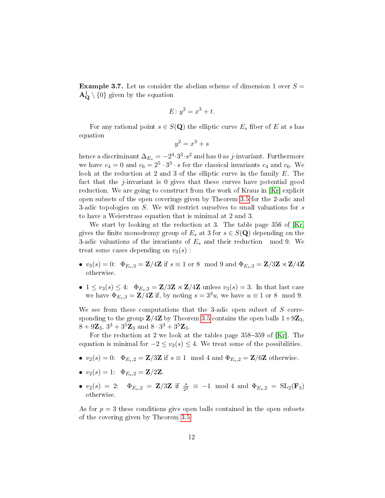**Example 3.7.** Let us consider the abelian scheme of dimension 1 over  $S =$  $\mathbf{A}_{\mathbf{Q}}^{1}\setminus\{0\}$  given by the equation

$$
E: y^2 = x^3 + t.
$$

For any rational point  $s \in S(\mathbf{Q})$  the elliptic curve  $E_s$  fiber of E at s has equation

$$
y^2 = x^3 + s
$$

hence a discriminant  $\Delta_{E_s}=-2^4\!\cdot\!3^3\!\cdot\! s^2$  and has  $0$  as  $j$ -invariant. Furthermore we have  $c_4 = 0$  and  $c_6 = 2^5 \cdot 3^3 \cdot s$  for the classical invariants  $c_4$  and  $c_6$ . We look at the reduction at 2 and 3 of the elliptic curve in the family E. The fact that the j-invariant is 0 gives that these curves have potential good reduction. We are going to construct from the work of Kraus in [\[Kr\]](#page-15-9) explicit open subsets of the open coverings given by Theorem [3.5](#page-10-0) for the 2-adic and 3-adic topologies on  $S$ . We will restrict ourselves to small valuations for  $s$ to have a Weierstrass equation that is minimal at 2 and 3.

We start by looking at the reduction at 3. The table page 356 of [\[Kr\]](#page-15-9) gives the finite monodromy group of  $E_s$  at 3 for  $s \in S(\mathbf{Q})$  depending on the 3-adic valuations of the invariants of  $E_s$  and their reduction mod 9. We treat some cases depending on  $v_3(s)$ :

- $v_3(s) = 0$ :  $\Phi_{E_s,3} = \mathbf{Z}/4\mathbf{Z}$  if  $s \equiv 1$  or 8 mod 9 and  $\Phi_{E_s,3} = \mathbf{Z}/3\mathbf{Z} \rtimes \mathbf{Z}/4\mathbf{Z}$ otherwise.
- $1 \le v_3(s) \le 4$ :  $\Phi_{E_s,3} = \mathbf{Z}/3\mathbf{Z} \rtimes \mathbf{Z}/4\mathbf{Z}$  unless  $v_3(s) = 3$ . In that last case we have  $\Phi_{E_s,3} = \mathbf{Z}/4\mathbf{Z}$  if, by noting  $s = 3^3u$ , we have  $u \equiv 1$  or 8 mod 9.

We see from these computations that the 3-adic open subset of  $S$  corresponding to the group  $\mathbb{Z}/4\mathbb{Z}$  by Theorem [3.5](#page-10-0) contains the open balls  $1+9\mathbb{Z}_3$ ,  $8 + 9\mathbf{Z}_3$ ,  $3^3 + 3^5\mathbf{Z}_3$  and  $8 \cdot 3^3 + 3^5\mathbf{Z}_3$ .

For the reduction at 2 we look at the tables page  $358-359$  of [\[Kr\]](#page-15-9). The equation is minimal for  $-2 \le v_2(s) \le 4$ . We treat some of the possibilities.

- $v_2(s) = 0$ :  $\Phi_{E_s,2} = \mathbf{Z}/3\mathbf{Z}$  if  $s \equiv 1 \mod 4$  and  $\Phi_{E_s,2} = \mathbf{Z}/6\mathbf{Z}$  otherwise.
- $v_2(s) = 1$ :  $\Phi_{E_s,2} = \mathbf{Z}/2\mathbf{Z}$ .
- $v_2(s) = 2$ :  $\Phi_{E_s,2} = \mathbb{Z}/3\mathbb{Z}$  if  $\frac{s}{2^2} \equiv -1 \mod 4$  and  $\Phi_{E_s,2} = SL_2(\mathbf{F}_3)$ otherwise.

As for  $p = 3$  these conditions give open balls contained in the open subsets of the covering given by Theorem [3.5.](#page-10-0)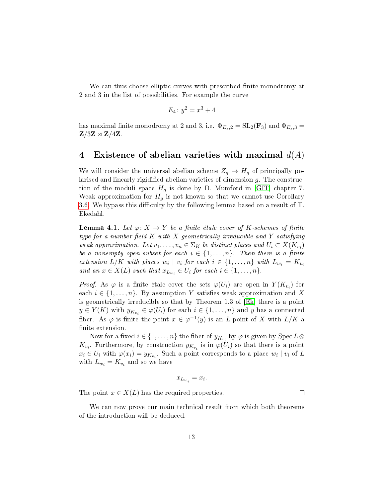We can thus choose elliptic curves with prescribed finite monodromy at 2 and 3 in the list of possibilities. For example the curve

$$
E_4 \colon y^2 = x^3 + 4
$$

has maximal finite monodromy at 2 and 3, i.e.  $\Phi_{E_s,2} = SL_2(\mathbf{F}_3)$  and  $\Phi_{E_s,3} =$  $\mathbf{Z}/3\mathbf{Z} \rtimes \mathbf{Z}/4\mathbf{Z}$ 

### 4 Existence of abelian varieties with maximal  $d(A)$

We will consider the universal abelian scheme  $Z_g \rightarrow H_g$  of principally polarised and linearly rigidified abelian varieties of dimension  $g$ . The construction of the moduli space  $H_g$  is done by D. Mumford in [\[GIT\]](#page-15-5) chapter 7. Weak approximation for  $H_g$  is not known so that we cannot use Corollary [3.6.](#page-10-1) We bypass this difficulty by the following lemma based on a result of T. Ekedahl.

<span id="page-12-0"></span>**Lemma 4.1.** Let  $\varphi: X \to Y$  be a finite étale cover of K-schemes of finite type for a number field  $K$  with  $X$  geometrically irreducible and  $Y$  satisfying weak approximation. Let  $v_1, \ldots, v_n \in \Sigma_K$  be distinct places and  $U_i \subset X(K_{v_i})$ be a nonempty open subset for each  $i \in \{1, \ldots, n\}$ . Then there is a finite extension  $L/K$  with places  $w_i \mid v_i$  for each  $i \in \{1, \ldots, n\}$  with  $L_{w_i} = K_{v_i}$ and an  $x \in X(L)$  such that  $x_{L_{w_i}} \in U_i$  for each  $i \in \{1, \ldots, n\}$ .

*Proof.* As  $\varphi$  is a finite étale cover the sets  $\varphi(U_i)$  are open in  $Y(K_{v_i})$  for each  $i \in \{1, \ldots, n\}$ . By assumption Y satisfies weak approximation and X is geometrically irreducible so that by Theorem 1.3 of [\[Ek\]](#page-15-10) there is a point  $y \in Y(K)$  with  $y_{K_{v_i}} \in \varphi(U_i)$  for each  $i \in \{1, \ldots, n\}$  and  $y$  has a connected fiber. As  $\varphi$  is finite the point  $x \in \varphi^{-1}(y)$  is an *L*-point of X with  $L/K$  a finite extension.

Now for a fixed  $i \in \{1, \ldots, n\}$  the fiber of  $y_{K_{v_i}}$  by  $\varphi$  is given by  $\operatorname{Spec} L \otimes$  $K_{v_i}$ . Furthermore, by construction  $y_{K_{v_i}}$  is in  $\varphi(U_i)$  so that there is a point  $x_i \in U_i$  with  $\varphi(x_i) = y_{K_{v_i}}$ . Such a point corresponds to a place  $w_i | v_i$  of L with  $L_{w_i} = K_{v_i}$  and so we have

$$
x_{L_{w_i}} = x_i.
$$

The point  $x \in X(L)$  has the required properties.

We can now prove our main technical result from which both theorems of the introduction will be deduced.

 $\Box$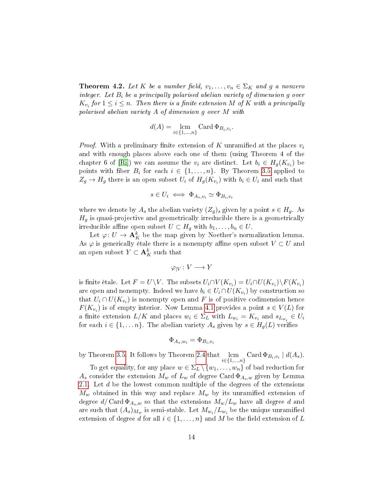<span id="page-13-0"></span>**Theorem 4.2.** Let K be a number field,  $v_1, \ldots, v_n \in \Sigma_K$  and g a nonzero integer. Let  $B_i$  be a principally polarised abelian variety of dimension g over  $K_{v_i}$  for  $1 \leq i \leq n$ . Then there is a finite extension M of K with a principally polarised abelian variety A of dimension g over M with

$$
d(A) = \operatorname*{lcm}_{i \in \{1,\ldots,n\}} \operatorname{Card} \Phi_{B_i,v_i}.
$$

*Proof.* With a preliminary finite extension of K unramified at the places  $v_i$ and with enough places above each one of them (using Theorem 4 of the chapter 6 of [\[Ri\]](#page-15-7)) we can assume the  $v_i$  are distinct. Let  $b_i \in H_g(K_{v_i})$  be points with fiber  $B_i$  for each  $i \in \{1, \ldots, n\}$ . By Theorem [3.5](#page-10-0) applied to  $Z_g \to H_g$  there is an open subset  $U_i$  of  $H_g(K_{v_i})$  with  $b_i \in U_i$  and such that

$$
s \in U_i \iff \Phi_{A_s, v_i} \simeq \Phi_{B_i, v_i}
$$

where we denote by  $A_s$  the abelian variety  $(Z_q)_s$  given by a point  $s \in H_q$ . As  $H<sub>g</sub>$  is quasi-projective and geometrically irreducible there is a geometrically irreducible affine open subset  $U \subset H_g$  with  $b_1, \ldots, b_n \in U$ .

Let  $\varphi: U \to \mathbf{A}^k_K$  be the map given by Noether's normalization lemma. As  $\varphi$  is generically étale there is a nonempty affine open subset  $V \subset U$  and an open subset  $Y \subset \mathbf{A}^k_K$  such that

$$
\varphi_{|V} \colon V \longrightarrow Y
$$

is finite étale. Let  $F=U\backslash V$ . The subsets  $U_i\cap V(K_{v_i})=U_i\cap U(K_{v_i})\backslash F(K_{v_i})$ are open and nonempty. Indeed we have  $b_i \in U_i \cap U(K_{v_i})$  by construction so that  $U_i \cap U(K_{v_i})$  is nonempty open and  $F$  is of positive codimension hence  $F(K_{v_i})$  is of empty interior. Now Lemma [4.1](#page-12-0) provides a point  $s \in V(L)$  for a finite extension  $L/K$  and places  $w_i \in \Sigma_L$  with  $L_{w_i} = K_{v_i}$  and  $s_{L_{w_i}} \in U_i$ for each  $i \in \{1, \ldots n\}$ . The abelian variety  $A_s$  given by  $s \in H_q(L)$  verifies

$$
\Phi_{A_s,w_i}=\Phi_{B_i,v_i}
$$

by Theorem [3.5.](#page-10-0) It follows by Theorem [2.4](#page-5-0) that  $\lim_{i \in \{1,\dots,n\}} \text{Card} \, \Phi_{B_i,v_i} \mid d(A_s)$ .

To get equality, for any place  $w \in \Sigma_L \setminus \{w_1, \ldots, w_n\}$  of bad reduction for  $A_s$  consider the extension  $M_w$  of  $L_w$  of degree Card  $\Phi_{A_s,w}$  given by Lemma [2.1.](#page-3-0) Let d be the lowest common multiple of the degrees of the extensions  $M_w$  obtained in this way and replace  $M_w$  by its unramified extension of degree  $d/\operatorname{Card} \Phi_{A_s,w}$  so that the extensions  $M_w/L_w$  have all degree d and are such that  $(A_s)_{M_w}$  is semi-stable. Let  $M_{w_i}/L_{w_i}$  be the unique unramified extension of degree d for all  $i \in \{1, \ldots, n\}$  and M be the field extension of L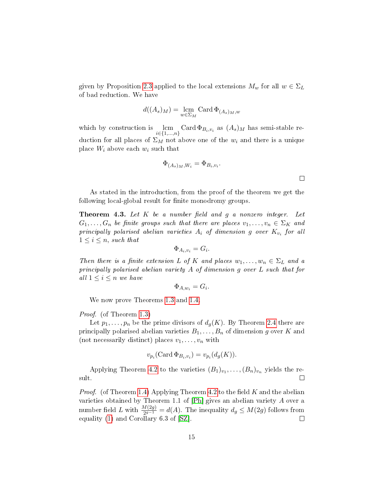given by Proposition [2.3](#page-4-1) applied to the local extensions  $M_w$  for all  $w \in \Sigma_L$ of bad reduction. We have

$$
d((A_s)_M) = \operatorname*{lcm}_{w \in \Sigma_M} \operatorname{Card} \Phi_{(A_s)_M,w}
$$

which by construction is  $\lim_{i \in \{1,\ldots,n\}}$  Card  $\Phi_{B_i,v_i}$  as  $(A_s)_M$  has semi-stable reduction for all places of  $\Sigma_M$  not above one of the  $w_i$  and there is a unique place  $W_i$  above each  $w_i$  such that

$$
\Phi_{(A_s)_M,W_i} = \Phi_{B_i,v_i}.
$$

 $\Box$ 

As stated in the introduction, from the proof of the theorem we get the following local-global result for finite monodromy groups.

**Theorem 4.3.** Let  $K$  be a number field and  $g$  a nonzero integer. Let  $G_1, \ldots, G_n$  be finite groups such that there are places  $v_1, \ldots, v_n \in \Sigma_K$  and principally polarised abelian varieties  $A_i$  of dimension  $g$  over  $K_{v_i}$  for all  $1 \leq i \leq n$ , such that

$$
\Phi_{A_i, v_i} = G_i.
$$

Then there is a finite extension L of K and places  $w_1, \ldots, w_n \in \Sigma_L$  and a principally polarised abelian variety A of dimension g over L such that for all  $1 \leq i \leq n$  we have

$$
\Phi_{A,w_i} = G_i.
$$

We now prove Theorems [1.3](#page-1-1) and [1.4.](#page-1-0)

Proof. (of Theorem [1.3\)](#page-1-1)

Let  $p_1, \ldots, p_n$  be the prime divisors of  $d_g(K)$ . By Theorem [2.4](#page-5-0) there are principally polarised abelian varieties  $B_1, \ldots, B_n$  of dimension g over K and (not necessarily distinct) places  $v_1, \ldots, v_n$  with

$$
v_{p_i}(\text{Card }\Phi_{B_i,v_i})=v_{p_i}(d_g(K)).
$$

Applying Theorem [4.2](#page-13-0) to the varieties  $(B_1)_{v_1}, \ldots, (B_n)_{v_n}$  yields the result.  $\Box$ 

*Proof.* (of Theorem [1.4\)](#page-1-0) Applying Theorem [4.2](#page-13-0) to the field  $K$  and the abelian varieties obtained by Theorem 1.1 of [\[Ph\]](#page-15-1) gives an abelian variety A over a number field L with  $\frac{M(2g)}{2g-1} = d(A)$ . The inequality  $d_g \le M(2g)$  follows from equality [\(1\)](#page-2-0) and Corollary 6.3 of [\[SZ\]](#page-15-4).  $\Box$